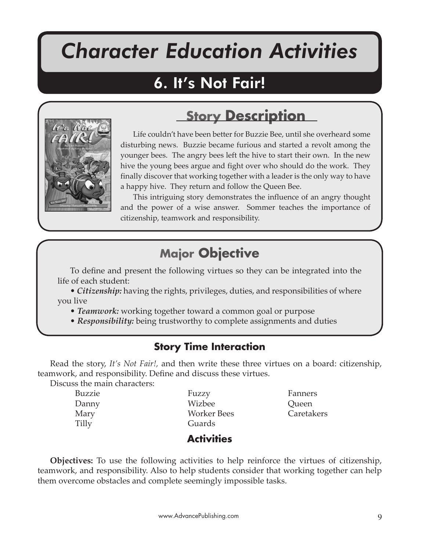# *Character Education Activities*

It's Not Fair!

# 6. It's Not Fair!



Life couldn't have been better for Buzzie Bee, until she overheard some disturbing news. Buzzie became furious and started a revolt among the younger bees. The angry bees left the hive to start their own. In the new hive the young bees argue and fight over who should do the work. They finally discover that working together with a leader is the only way to have a happy hive. They return and follow the Queen Bee.

**Story Description**

This intriguing story demonstrates the influence of an angry thought and the power of a wise answer. Sommer teaches the importance of citizenship, teamwork and responsibility.

## **Major Objective**

To define and present the following virtues so they can be integrated into the life of each student:

• *Citizenship:* having the rights, privileges, duties, and responsibilities of where you live

• *Teamwork:* working together toward a common goal or purpose

• *Responsibility:* being trustworthy to complete assignments and duties

### **Story Time Interaction**

Read the story, *It's Not Fair!,* and then write these three virtues on a board: citizenship, teamwork, and responsibility. Define and discuss these virtues.

Discuss the main characters:

| Buzzie | Fuzzy              | Fanners    |
|--------|--------------------|------------|
| Danny  | Wizbee             | Queen      |
| Mary   | <b>Worker Bees</b> | Caretakers |
| Tilly  | Guards             |            |
|        |                    |            |

**Activities**

**Objectives:** To use the following activities to help reinforce the virtues of citizenship, teamwork, and responsibility. Also to help students consider that working together can help them overcome obstacles and complete seemingly impossible tasks.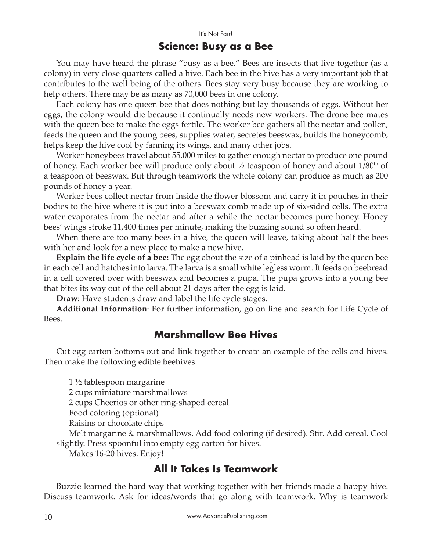#### **Science: Busy as a Bee**

You may have heard the phrase "busy as a bee." Bees are insects that live together (as a colony) in very close quarters called a hive. Each bee in the hive has a very important job that contributes to the well being of the others. Bees stay very busy because they are working to help others. There may be as many as 70,000 bees in one colony.

Each colony has one queen bee that does nothing but lay thousands of eggs. Without her eggs, the colony would die because it continually needs new workers. The drone bee mates with the queen bee to make the eggs fertile. The worker bee gathers all the nectar and pollen, feeds the queen and the young bees, supplies water, secretes beeswax, builds the honeycomb, helps keep the hive cool by fanning its wings, and many other jobs.

Worker honeybees travel about 55,000 miles to gather enough nectar to produce one pound of honey. Each worker bee will produce only about  $\frac{1}{2}$  teaspoon of honey and about  $1/80<sup>th</sup>$  of a teaspoon of beeswax. But through teamwork the whole colony can produce as much as 200 pounds of honey a year.

Worker bees collect nectar from inside the flower blossom and carry it in pouches in their bodies to the hive where it is put into a beeswax comb made up of six-sided cells. The extra water evaporates from the nectar and after a while the nectar becomes pure honey. Honey bees' wings stroke 11,400 times per minute, making the buzzing sound so often heard.

When there are too many bees in a hive, the queen will leave, taking about half the bees with her and look for a new place to make a new hive.

**Explain the life cycle of a bee:** The egg about the size of a pinhead is laid by the queen bee in each cell and hatches into larva. The larva is a small white legless worm. It feeds on beebread in a cell covered over with beeswax and becomes a pupa. The pupa grows into a young bee that bites its way out of the cell about 21 days a�er the egg is laid.

**Draw**: Have students draw and label the life cycle stages.

**Additional Information**: For further information, go on line and search for Life Cycle of Bees.

#### **Marshmallow Bee Hives**

Cut egg carton bottoms out and link together to create an example of the cells and hives. Then make the following edible beehives.

1 ½ tablespoon margarine

2 cups miniature marshmallows

2 cups Cheerios or other ring-shaped cereal

Food coloring (optional)

Raisins or chocolate chips

Melt margarine & marshmallows. Add food coloring (if desired). Stir. Add cereal. Cool slightly. Press spoonful into empty egg carton for hives.

Makes 16-20 hives. Enjoy!

#### **All It Takes Is Teamwork**

Buzzie learned the hard way that working together with her friends made a happy hive. Discuss teamwork. Ask for ideas/words that go along with teamwork. Why is teamwork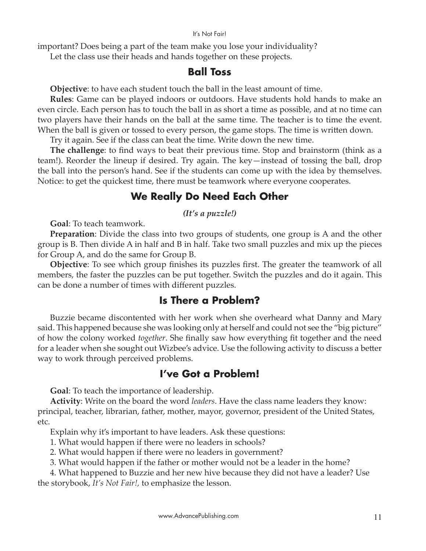#### It's Not Fair!

important? Does being a part of the team make you lose your individuality?

Let the class use their heads and hands together on these projects.

#### **Ball Toss**

**Objective**: to have each student touch the ball in the least amount of time.

**Rules**: Game can be played indoors or outdoors. Have students hold hands to make an even circle. Each person has to touch the ball in as short a time as possible, and at no time can two players have their hands on the ball at the same time. The teacher is to time the event. When the ball is given or tossed to every person, the game stops. The time is written down.

Try it again. See if the class can beat the time. Write down the new time.

**The challenge**: to find ways to beat their previous time. Stop and brainstorm (think as a team!). Reorder the lineup if desired. Try again. The key—instead of tossing the ball, drop the ball into the person's hand. See if the students can come up with the idea by themselves. Notice: to get the quickest time, there must be teamwork where everyone cooperates.

### **We Really Do Need Each Other**

*(It's a puzzle!)*

**Goal**: To teach teamwork.

**Preparation**: Divide the class into two groups of students, one group is A and the other group is B. Then divide A in half and B in half. Take two small puzzles and mix up the pieces for Group A, and do the same for Group B.

**Objective**: To see which group finishes its puzzles first. The greater the teamwork of all members, the faster the puzzles can be put together. Switch the puzzles and do it again. This can be done a number of times with different puzzles.

#### **Is There a Problem?**

Buzzie became discontented with her work when she overheard what Danny and Mary said. This happened because she was looking only at herself and could not see the "big picture" of how the colony worked *together*. She finally saw how everything fit together and the need for a leader when she sought out Wizbee's advice. Use the following activity to discuss a better way to work through perceived problems.

#### **I've Got a Problem!**

**Goal**: To teach the importance of leadership.

**Activity**: Write on the board the word *leaders*. Have the class name leaders they know: principal, teacher, librarian, father, mother, mayor, governor, president of the United States, etc.

Explain why it's important to have leaders. Ask these questions:

- 1. What would happen if there were no leaders in schools?
- 2. What would happen if there were no leaders in government?
- 3. What would happen if the father or mother would not be a leader in the home?

4. What happened to Buzzie and her new hive because they did not have a leader? Use the storybook, *It's Not Fair!,* to emphasize the lesson.